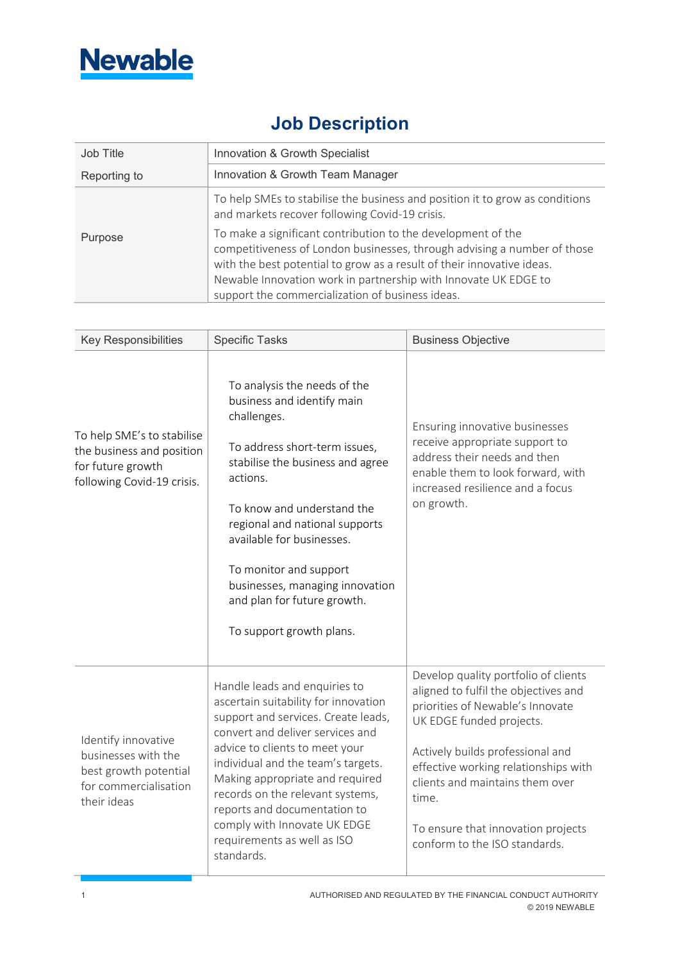

## Job Description

| Job Title    | Innovation & Growth Specialist                                                                                                                                                                                                                                                                                                            |
|--------------|-------------------------------------------------------------------------------------------------------------------------------------------------------------------------------------------------------------------------------------------------------------------------------------------------------------------------------------------|
| Reporting to | Innovation & Growth Team Manager                                                                                                                                                                                                                                                                                                          |
|              | To help SMEs to stabilise the business and position it to grow as conditions<br>and markets recover following Covid-19 crisis.                                                                                                                                                                                                            |
| Purpose      | To make a significant contribution to the development of the<br>competitiveness of London businesses, through advising a number of those<br>with the best potential to grow as a result of their innovative ideas.<br>Newable Innovation work in partnership with Innovate UK EDGE to<br>support the commercialization of business ideas. |

| Key Responsibilities                                                                                        | <b>Specific Tasks</b>                                                                                                                                                                                                                                                                                                                                                                                        | <b>Business Objective</b>                                                                                                                                                                                                                                                                                                                   |
|-------------------------------------------------------------------------------------------------------------|--------------------------------------------------------------------------------------------------------------------------------------------------------------------------------------------------------------------------------------------------------------------------------------------------------------------------------------------------------------------------------------------------------------|---------------------------------------------------------------------------------------------------------------------------------------------------------------------------------------------------------------------------------------------------------------------------------------------------------------------------------------------|
| To help SME's to stabilise<br>the business and position<br>for future growth<br>following Covid-19 crisis.  | To analysis the needs of the<br>business and identify main<br>challenges.<br>To address short-term issues,<br>stabilise the business and agree<br>actions.<br>To know and understand the<br>regional and national supports<br>available for businesses.<br>To monitor and support<br>businesses, managing innovation<br>and plan for future growth.<br>To support growth plans.                              | Ensuring innovative businesses<br>receive appropriate support to<br>address their needs and then<br>enable them to look forward, with<br>increased resilience and a focus<br>on growth.                                                                                                                                                     |
| Identify innovative<br>businesses with the<br>best growth potential<br>for commercialisation<br>their ideas | Handle leads and enquiries to<br>ascertain suitability for innovation<br>support and services. Create leads,<br>convert and deliver services and<br>advice to clients to meet your<br>individual and the team's targets.<br>Making appropriate and required<br>records on the relevant systems,<br>reports and documentation to<br>comply with Innovate UK EDGE<br>requirements as well as ISO<br>standards. | Develop quality portfolio of clients<br>aligned to fulfil the objectives and<br>priorities of Newable's Innovate<br>UK EDGE funded projects.<br>Actively builds professional and<br>effective working relationships with<br>clients and maintains them over<br>time.<br>To ensure that innovation projects<br>conform to the ISO standards. |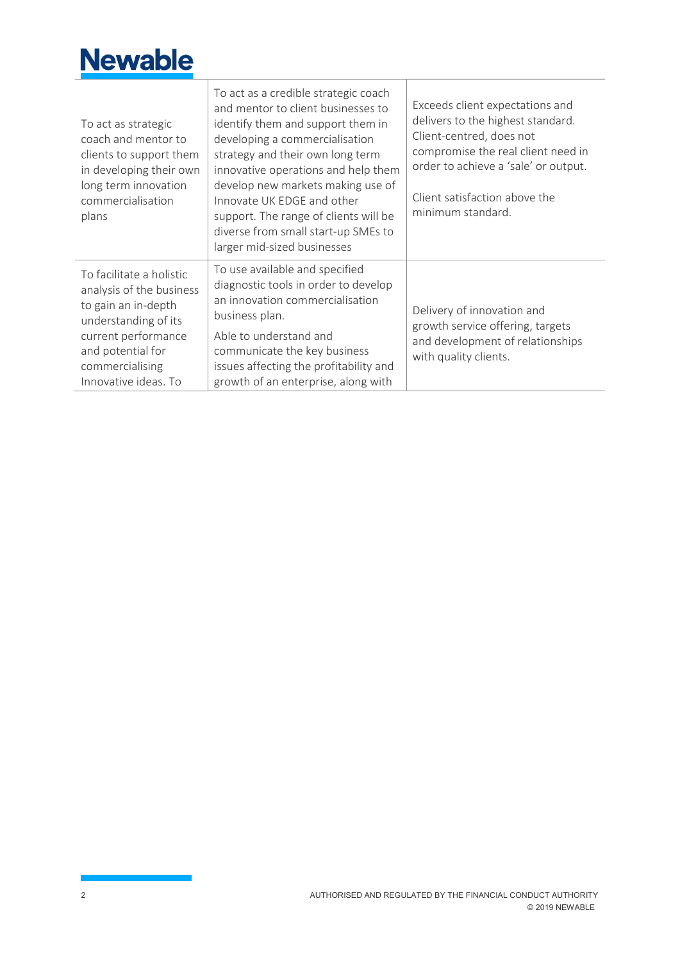

| To act as strategic<br>coach and mentor to<br>clients to support them<br>in developing their own<br>long term innovation<br>commercialisation<br>plans                                     | To act as a credible strategic coach<br>and mentor to client businesses to<br>identify them and support them in<br>developing a commercialisation<br>strategy and their own long term<br>innovative operations and help them<br>develop new markets making use of<br>Innovate UK EDGE and other<br>support. The range of clients will be<br>diverse from small start-up SMEs to<br>larger mid-sized businesses | Exceeds client expectations and<br>delivers to the highest standard.<br>Client-centred, does not<br>compromise the real client need in<br>order to achieve a 'sale' or output.<br>Client satisfaction above the<br>minimum standard. |
|--------------------------------------------------------------------------------------------------------------------------------------------------------------------------------------------|----------------------------------------------------------------------------------------------------------------------------------------------------------------------------------------------------------------------------------------------------------------------------------------------------------------------------------------------------------------------------------------------------------------|--------------------------------------------------------------------------------------------------------------------------------------------------------------------------------------------------------------------------------------|
| To facilitate a holistic<br>analysis of the business<br>to gain an in-depth<br>understanding of its<br>current performance<br>and potential for<br>commercialising<br>Innovative ideas. To | To use available and specified<br>diagnostic tools in order to develop<br>an innovation commercialisation<br>business plan.<br>Able to understand and<br>communicate the key business<br>issues affecting the profitability and<br>growth of an enterprise, along with                                                                                                                                         | Delivery of innovation and<br>growth service offering, targets<br>and development of relationships<br>with quality clients.                                                                                                          |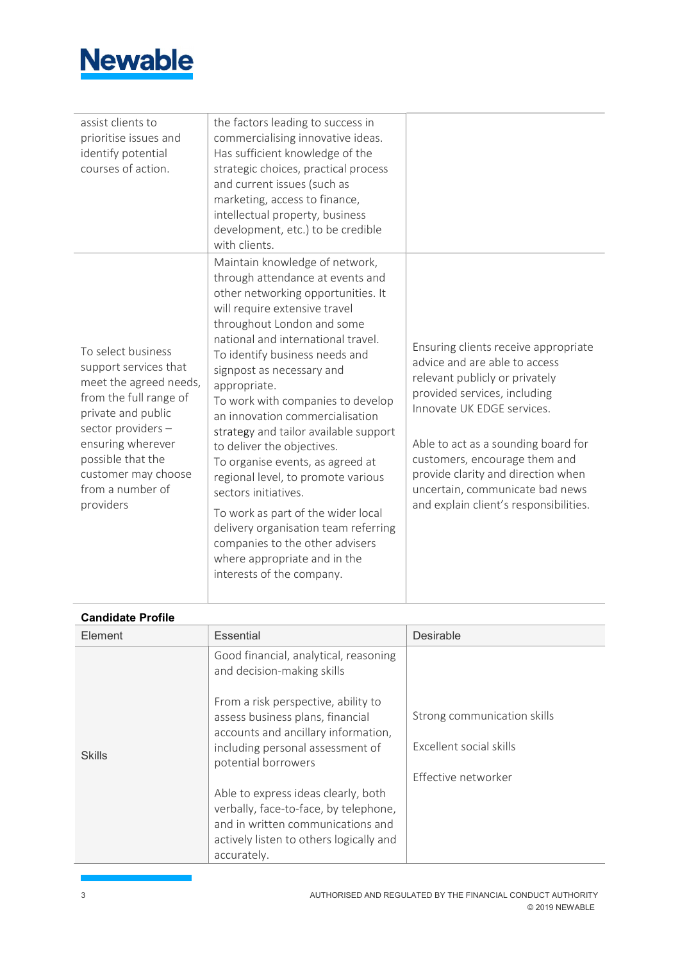

| assist clients to<br>prioritise issues and<br>identify potential<br>courses of action.                                                                                                                                                        | the factors leading to success in<br>commercialising innovative ideas.<br>Has sufficient knowledge of the<br>strategic choices, practical process<br>and current issues (such as<br>marketing, access to finance,<br>intellectual property, business<br>development, etc.) to be credible<br>with clients.                                                                                                                                                                                                                                                                                                                                                                                                                  |                                                                                                                                                                                                                                                                                                                                                                  |
|-----------------------------------------------------------------------------------------------------------------------------------------------------------------------------------------------------------------------------------------------|-----------------------------------------------------------------------------------------------------------------------------------------------------------------------------------------------------------------------------------------------------------------------------------------------------------------------------------------------------------------------------------------------------------------------------------------------------------------------------------------------------------------------------------------------------------------------------------------------------------------------------------------------------------------------------------------------------------------------------|------------------------------------------------------------------------------------------------------------------------------------------------------------------------------------------------------------------------------------------------------------------------------------------------------------------------------------------------------------------|
| To select business<br>support services that<br>meet the agreed needs,<br>from the full range of<br>private and public<br>sector providers -<br>ensuring wherever<br>possible that the<br>customer may choose<br>from a number of<br>providers | Maintain knowledge of network,<br>through attendance at events and<br>other networking opportunities. It<br>will require extensive travel<br>throughout London and some<br>national and international travel.<br>To identify business needs and<br>signpost as necessary and<br>appropriate.<br>To work with companies to develop<br>an innovation commercialisation<br>strategy and tailor available support<br>to deliver the objectives.<br>To organise events, as agreed at<br>regional level, to promote various<br>sectors initiatives.<br>To work as part of the wider local<br>delivery organisation team referring<br>companies to the other advisers<br>where appropriate and in the<br>interests of the company. | Ensuring clients receive appropriate<br>advice and are able to access<br>relevant publicly or privately<br>provided services, including<br>Innovate UK EDGE services.<br>Able to act as a sounding board for<br>customers, encourage them and<br>provide clarity and direction when<br>uncertain, communicate bad news<br>and explain client's responsibilities. |

## Candidate Profile

| <b>Calluluale Profile</b> |                                                                                                                                                                             |                                                                               |
|---------------------------|-----------------------------------------------------------------------------------------------------------------------------------------------------------------------------|-------------------------------------------------------------------------------|
| Element                   | Essential                                                                                                                                                                   | Desirable                                                                     |
| <b>Skills</b>             | Good financial, analytical, reasoning<br>and decision-making skills                                                                                                         |                                                                               |
|                           | From a risk perspective, ability to<br>assess business plans, financial<br>accounts and ancillary information,<br>including personal assessment of<br>potential borrowers   | Strong communication skills<br>Excellent social skills<br>Effective networker |
|                           | Able to express ideas clearly, both<br>verbally, face-to-face, by telephone,<br>and in written communications and<br>actively listen to others logically and<br>accurately. |                                                                               |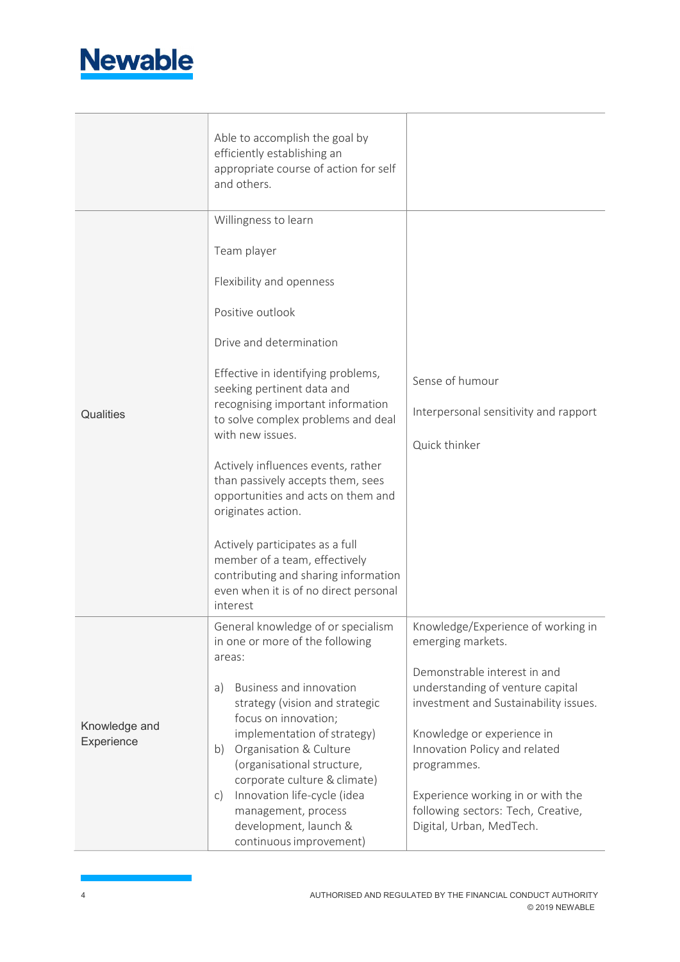

|                             | Able to accomplish the goal by<br>efficiently establishing an<br>appropriate course of action for self<br>and others.                                                                                                                                                                                                                          |                                                                                                                                                                                                                                                                                                |
|-----------------------------|------------------------------------------------------------------------------------------------------------------------------------------------------------------------------------------------------------------------------------------------------------------------------------------------------------------------------------------------|------------------------------------------------------------------------------------------------------------------------------------------------------------------------------------------------------------------------------------------------------------------------------------------------|
|                             | Willingness to learn                                                                                                                                                                                                                                                                                                                           |                                                                                                                                                                                                                                                                                                |
|                             | Team player                                                                                                                                                                                                                                                                                                                                    |                                                                                                                                                                                                                                                                                                |
|                             | Flexibility and openness                                                                                                                                                                                                                                                                                                                       |                                                                                                                                                                                                                                                                                                |
|                             | Positive outlook                                                                                                                                                                                                                                                                                                                               |                                                                                                                                                                                                                                                                                                |
|                             | Drive and determination                                                                                                                                                                                                                                                                                                                        |                                                                                                                                                                                                                                                                                                |
|                             | Effective in identifying problems,<br>seeking pertinent data and                                                                                                                                                                                                                                                                               | Sense of humour                                                                                                                                                                                                                                                                                |
| Qualities                   | recognising important information<br>to solve complex problems and deal                                                                                                                                                                                                                                                                        | Interpersonal sensitivity and rapport                                                                                                                                                                                                                                                          |
|                             | with new issues.                                                                                                                                                                                                                                                                                                                               | Quick thinker                                                                                                                                                                                                                                                                                  |
|                             | Actively influences events, rather<br>than passively accepts them, sees<br>opportunities and acts on them and<br>originates action.                                                                                                                                                                                                            |                                                                                                                                                                                                                                                                                                |
|                             | Actively participates as a full<br>member of a team, effectively<br>contributing and sharing information<br>even when it is of no direct personal<br>interest                                                                                                                                                                                  |                                                                                                                                                                                                                                                                                                |
|                             | General knowledge of or specialism<br>in one or more of the following<br>areas:                                                                                                                                                                                                                                                                | Knowledge/Experience of working in<br>emerging markets.                                                                                                                                                                                                                                        |
| Knowledge and<br>Experience | Business and innovation<br>a)<br>strategy (vision and strategic<br>focus on innovation;<br>implementation of strategy)<br>Organisation & Culture<br>b)<br>(organisational structure,<br>corporate culture & climate)<br>Innovation life-cycle (idea<br>$\mathsf{C}$<br>management, process<br>development, launch &<br>continuous improvement) | Demonstrable interest in and<br>understanding of venture capital<br>investment and Sustainability issues.<br>Knowledge or experience in<br>Innovation Policy and related<br>programmes.<br>Experience working in or with the<br>following sectors: Tech, Creative,<br>Digital, Urban, MedTech. |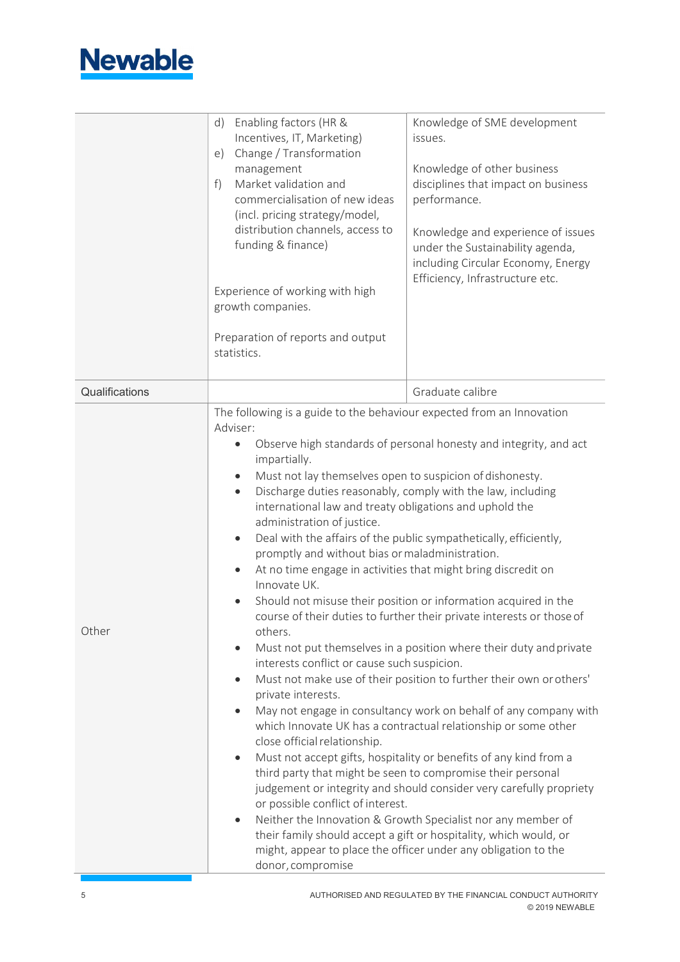

|                | d)<br>Enabling factors (HR &<br>Incentives, IT, Marketing)<br>Change / Transformation<br>e)<br>management<br>Market validation and<br>f)<br>commercialisation of new ideas<br>(incl. pricing strategy/model,<br>distribution channels, access to<br>funding & finance)<br>Experience of working with high<br>growth companies.<br>Preparation of reports and output<br>statistics.                                                                                                                                                                                                                                                                                                                                                                                                                                                                                                                                                                                                                                                                                                                                                                                                                                                                                                                                                                                                                                                                                                                                                                                                                                                                                                                                                     | Knowledge of SME development<br>issues.<br>Knowledge of other business<br>disciplines that impact on business<br>performance.<br>Knowledge and experience of issues<br>under the Sustainability agenda,<br>including Circular Economy, Energy<br>Efficiency, Infrastructure etc. |
|----------------|----------------------------------------------------------------------------------------------------------------------------------------------------------------------------------------------------------------------------------------------------------------------------------------------------------------------------------------------------------------------------------------------------------------------------------------------------------------------------------------------------------------------------------------------------------------------------------------------------------------------------------------------------------------------------------------------------------------------------------------------------------------------------------------------------------------------------------------------------------------------------------------------------------------------------------------------------------------------------------------------------------------------------------------------------------------------------------------------------------------------------------------------------------------------------------------------------------------------------------------------------------------------------------------------------------------------------------------------------------------------------------------------------------------------------------------------------------------------------------------------------------------------------------------------------------------------------------------------------------------------------------------------------------------------------------------------------------------------------------------|----------------------------------------------------------------------------------------------------------------------------------------------------------------------------------------------------------------------------------------------------------------------------------|
| Qualifications |                                                                                                                                                                                                                                                                                                                                                                                                                                                                                                                                                                                                                                                                                                                                                                                                                                                                                                                                                                                                                                                                                                                                                                                                                                                                                                                                                                                                                                                                                                                                                                                                                                                                                                                                        | Graduate calibre                                                                                                                                                                                                                                                                 |
| Other          | The following is a guide to the behaviour expected from an Innovation<br>Adviser:<br>Observe high standards of personal honesty and integrity, and act<br>impartially.<br>Must not lay themselves open to suspicion of dishonesty.<br>$\bullet$<br>Discharge duties reasonably, comply with the law, including<br>$\bullet$<br>international law and treaty obligations and uphold the<br>administration of justice.<br>Deal with the affairs of the public sympathetically, efficiently,<br>$\bullet$<br>promptly and without bias or maladministration.<br>At no time engage in activities that might bring discredit on<br>Innovate UK.<br>Should not misuse their position or information acquired in the<br>course of their duties to further their private interests or those of<br>others.<br>Must not put themselves in a position where their duty and private<br>$\bullet$<br>interests conflict or cause such suspicion.<br>Must not make use of their position to further their own or others'<br>$\bullet$<br>private interests.<br>May not engage in consultancy work on behalf of any company with<br>$\bullet$<br>which Innovate UK has a contractual relationship or some other<br>close official relationship.<br>Must not accept gifts, hospitality or benefits of any kind from a<br>$\bullet$<br>third party that might be seen to compromise their personal<br>judgement or integrity and should consider very carefully propriety<br>or possible conflict of interest.<br>Neither the Innovation & Growth Specialist nor any member of<br>$\bullet$<br>their family should accept a gift or hospitality, which would, or<br>might, appear to place the officer under any obligation to the<br>donor, compromise |                                                                                                                                                                                                                                                                                  |